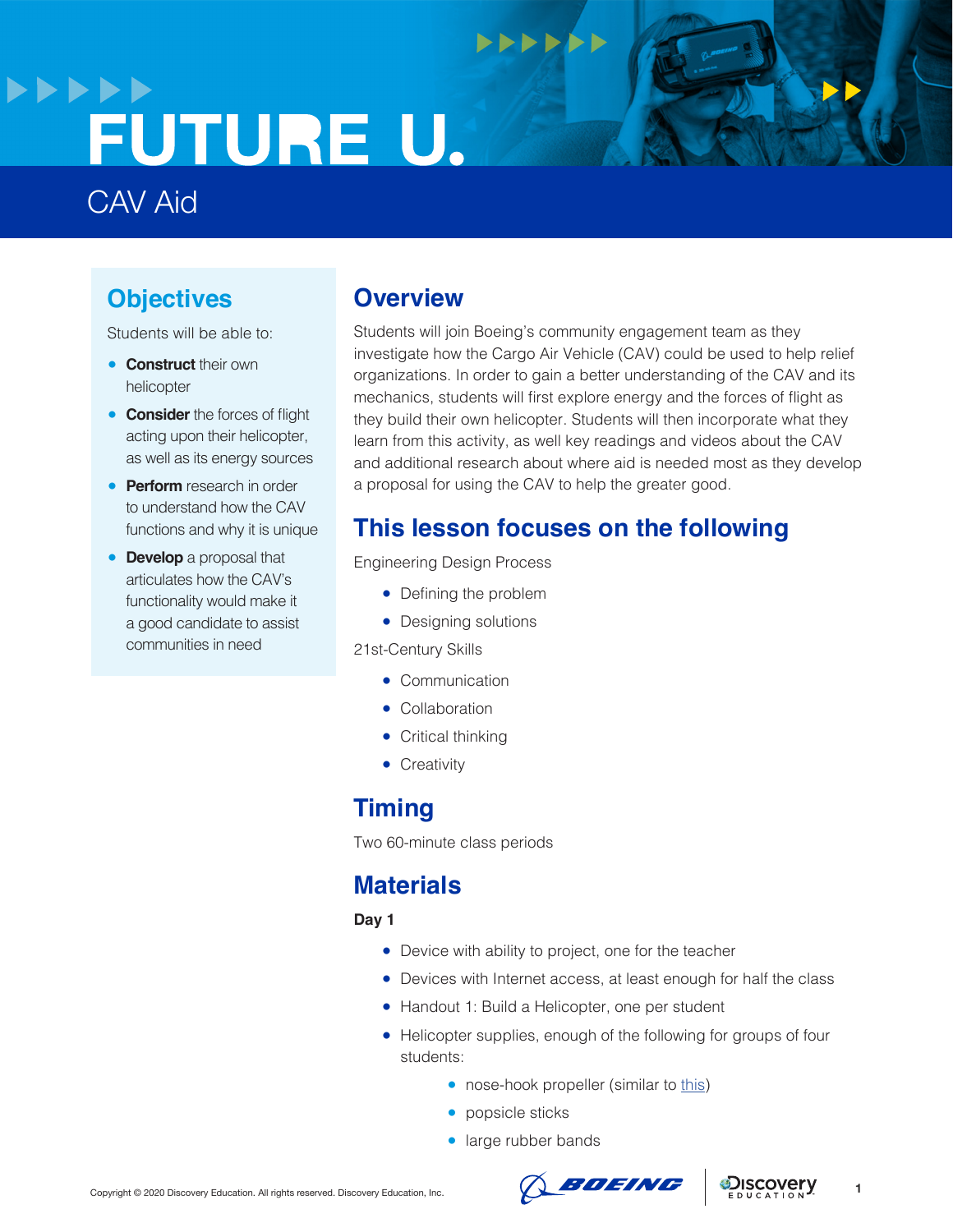## **>>>>>>** FUTURE U.

## CAV Aid

## **Objectives**

Students will be able to:

- **Construct** their own helicopter
- **Consider** the forces of flight acting upon their helicopter, as well as its energy sources
- **Perform** research in order to understand how the CAV functions and why it is unique
- **Develop** a proposal that articulates how the CAV's functionality would make it a good candidate to assist communities in need

### **Overview**

Students will join Boeing's community engagement team as they investigate how the Cargo Air Vehicle (CAV) could be used to help relief organizations. In order to gain a better understanding of the CAV and its mechanics, students will first explore energy and the forces of flight as they build their own helicopter. Students will then incorporate what they learn from this activity, as well key readings and videos about the CAV and additional research about where aid is needed most as they develop a proposal for using the CAV to help the greater good.

## **This lesson focuses on the following**

 $+$ 

Engineering Design Process

- Defining the problem
- Designing solutions

21st-Century Skills

- Communication
- Collaboration
- Critical thinking
- **•** Creativity

### **Timing**

Two 60-minute class periods

## **Materials**

**Day 1**

- Device with ability to project, one for the teacher
- Devices with Internet access, at least enough for half the class
- Handout 1: Build a Helicopter, one per student
- Helicopter supplies, enough of the following for groups of four students:
	- nose-hook propeller (similar to [this](https://www.amazon.com/10-Pack-Airplane-Plastic-Propeller-Projects/dp/B08BCG5C7X/ref=sr_1_2?dchild=1&keywords=nose+hook+propeller&qid=1603806182&s=toys-and-games&sr=1-2))
	- popsicle sticks
	- large rubber bands





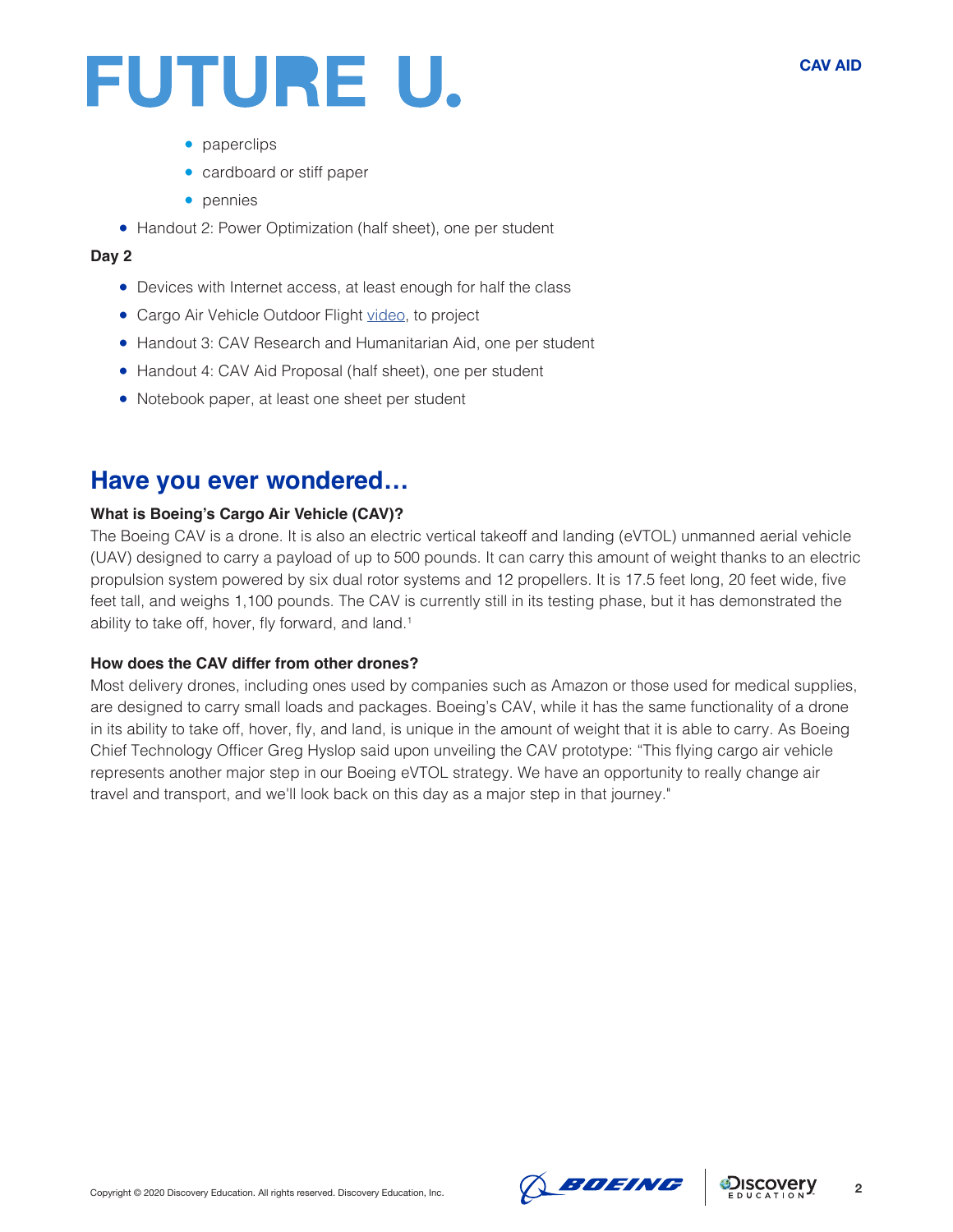- paperclips
- cardboard or stiff paper
- pennies
- Handout 2: Power Optimization (half sheet), one per student

#### **Day 2**

- Devices with Internet access, at least enough for half the class
- Cargo Air Vehicle Outdoor Flight [video](https://www.boeing.com/features/2019/05/cav-first-flight-05-19.page), to project
- Handout 3: CAV Research and Humanitarian Aid, one per student
- Handout 4: CAV Aid Proposal (half sheet), one per student
- Notebook paper, at least one sheet per student

### **Have you ever wondered…**

#### **What is Boeing's Cargo Air Vehicle (CAV)?**

The Boeing CAV is a drone. It is also an electric vertical takeoff and landing (eVTOL) unmanned aerial vehicle (UAV) designed to carry a payload of up to 500 pounds. It can carry this amount of weight thanks to an electric propulsion system powered by six dual rotor systems and 12 propellers. It is 17.5 feet long, 20 feet wide, five feet tall, and weighs 1,100 pounds. The CAV is currently still in its testing phase, but it has demonstrated the ability to take off, hover, fly forward, and land.<sup>1</sup>

#### **How does the CAV differ from other drones?**

Most delivery drones, including ones used by companies such as Amazon or those used for medical supplies, are designed to carry small loads and packages. Boeing's CAV, while it has the same functionality of a drone in its ability to take off, hover, fly, and land, is unique in the amount of weight that it is able to carry. As Boeing Chief Technology Officer Greg Hyslop said upon unveiling the CAV prototype: "This flying cargo air vehicle represents another major step in our Boeing eVTOL strategy. We have an opportunity to really change air travel and transport, and we'll look back on this day as a major step in that journey."



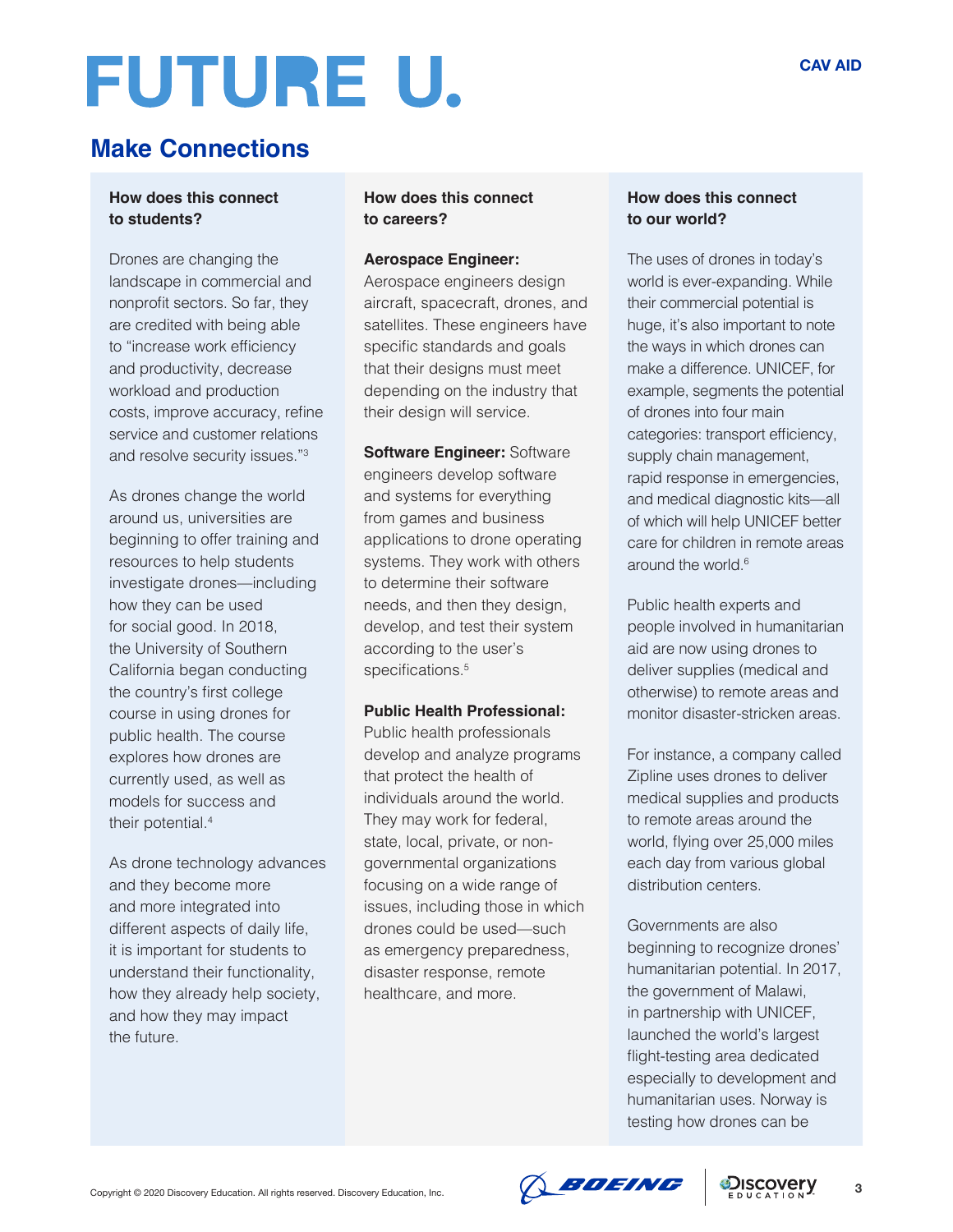## **Make Connections**

#### **How does this connect to students?**

Drones are changing the landscape in commercial and nonprofit sectors. So far, they are credited with being able to "increase work efficiency and productivity, decrease workload and production costs, improve accuracy, refine service and customer relations and resolve security issues."3

As drones change the world around us, universities are beginning to offer training and resources to help students investigate drones—including how they can be used for social good. In 2018, the University of Southern California began conducting the country's first college course in using drones for public health. The course explores how drones are currently used, as well as models for success and their potential.4

As drone technology advances and they become more and more integrated into different aspects of daily life, it is important for students to understand their functionality, how they already help society, and how they may impact the future.

#### **How does this connect to careers?**

#### **Aerospace Engineer:**

Aerospace engineers design aircraft, spacecraft, drones, and satellites. These engineers have specific standards and goals that their designs must meet depending on the industry that their design will service.

**Software Engineer:** Software engineers develop software and systems for everything from games and business applications to drone operating systems. They work with others to determine their software needs, and then they design, develop, and test their system according to the user's specifications.<sup>5</sup>

#### **Public Health Professional:**

Public health professionals develop and analyze programs that protect the health of individuals around the world. They may work for federal, state, local, private, or nongovernmental organizations focusing on a wide range of issues, including those in which drones could be used—such as emergency preparedness, disaster response, remote healthcare, and more.

#### **How does this connect to our world?**

The uses of drones in today's world is ever-expanding. While their commercial potential is huge, it's also important to note the ways in which drones can make a difference. UNICEF, for example, segments the potential of drones into four main categories: transport efficiency, supply chain management, rapid response in emergencies, and medical diagnostic kits—all of which will help UNICEF better care for children in remote areas around the world.<sup>6</sup>

Public health experts and people involved in humanitarian aid are now using drones to deliver supplies (medical and otherwise) to remote areas and monitor disaster-stricken areas.

For instance, a company called Zipline uses drones to deliver medical supplies and products to remote areas around the world, flying over 25,000 miles each day from various global distribution centers.

Governments are also beginning to recognize drones' humanitarian potential. In 2017, the government of Malawi, in partnership with UNICEF, launched the world's largest flight-testing area dedicated especially to development and humanitarian uses. Norway is testing how drones can be

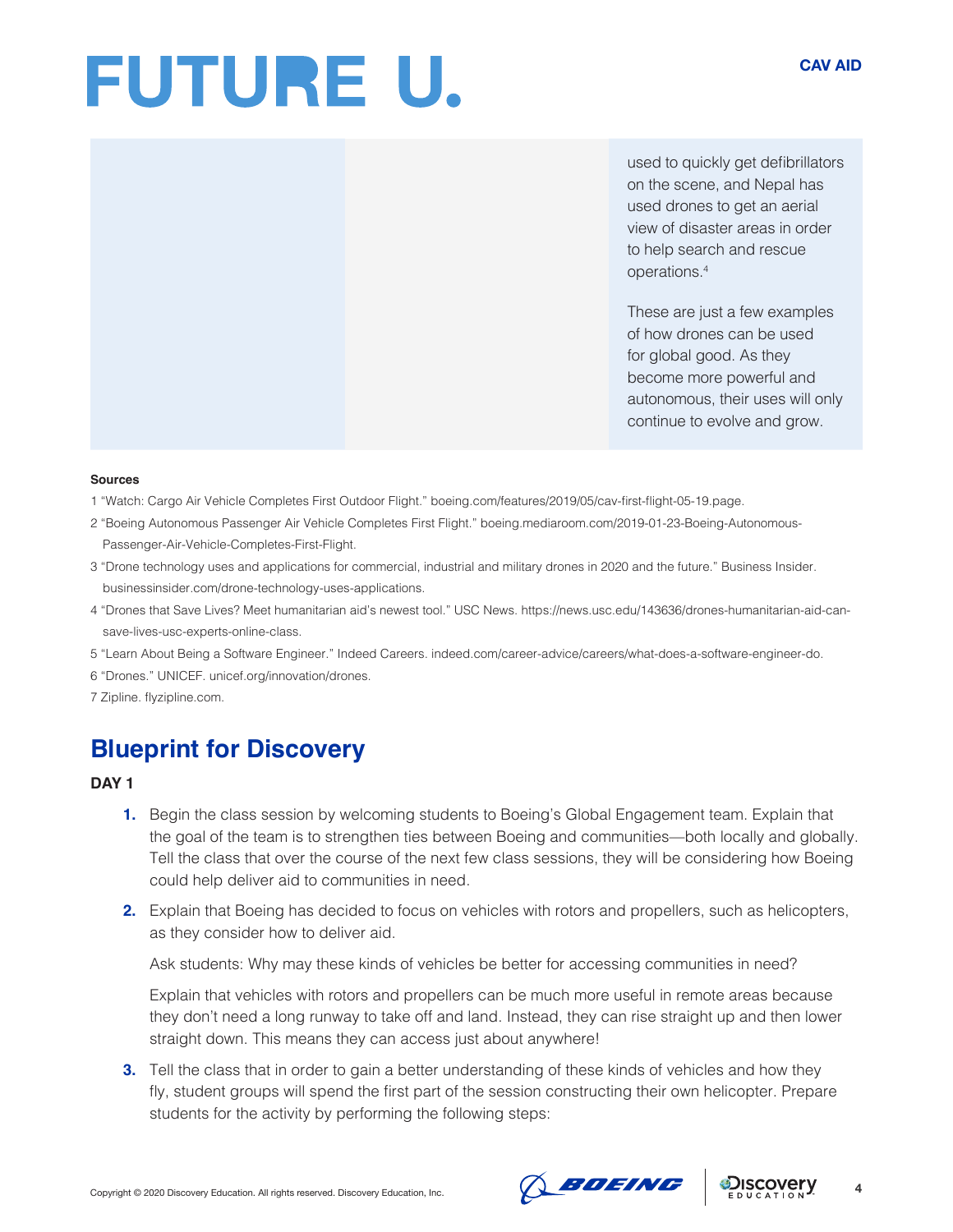used to quickly get defibrillators on the scene, and Nepal has used drones to get an aerial view of disaster areas in order to help search and rescue operations.4

These are just a few examples of how drones can be used for global good. As they become more powerful and autonomous, their uses will only continue to evolve and grow.

#### **Sources**

- 1 "Watch: Cargo Air Vehicle Completes First Outdoor Flight." boeing.com/features/2019/05/cav-first-flight-05-19.page.
- 2 "Boeing Autonomous Passenger Air Vehicle Completes First Flight." boeing.mediaroom.com/2019-01-23-Boeing-Autonomous-Passenger-Air-Vehicle-Completes-First-Flight.
- 3 "Drone technology uses and applications for commercial, industrial and military drones in 2020 and the future." Business Insider. businessinsider.com/drone-technology-uses-applications.
- 4 "Drones that Save Lives? Meet humanitarian aid's newest tool." USC News. https://news.usc.edu/143636/drones-humanitarian-aid-cansave-lives-usc-experts-online-class.
- 5 "Learn About Being a Software Engineer." Indeed Careers. indeed.com/career-advice/careers/what-does-a-software-engineer-do.
- 6 "Drones." UNICEF. unicef.org/innovation/drones.
- 7 Zipline. flyzipline.com.

## **Blueprint for Discovery**

#### **DAY 1**

- **1.** Begin the class session by welcoming students to Boeing's Global Engagement team. Explain that the goal of the team is to strengthen ties between Boeing and communities—both locally and globally. Tell the class that over the course of the next few class sessions, they will be considering how Boeing could help deliver aid to communities in need.
- **2.** Explain that Boeing has decided to focus on vehicles with rotors and propellers, such as helicopters, as they consider how to deliver aid.

Ask students: Why may these kinds of vehicles be better for accessing communities in need?

Explain that vehicles with rotors and propellers can be much more useful in remote areas because they don't need a long runway to take off and land. Instead, they can rise straight up and then lower straight down. This means they can access just about anywhere!

**3.** Tell the class that in order to gain a better understanding of these kinds of vehicles and how they fly, student groups will spend the first part of the session constructing their own helicopter. Prepare students for the activity by performing the following steps:



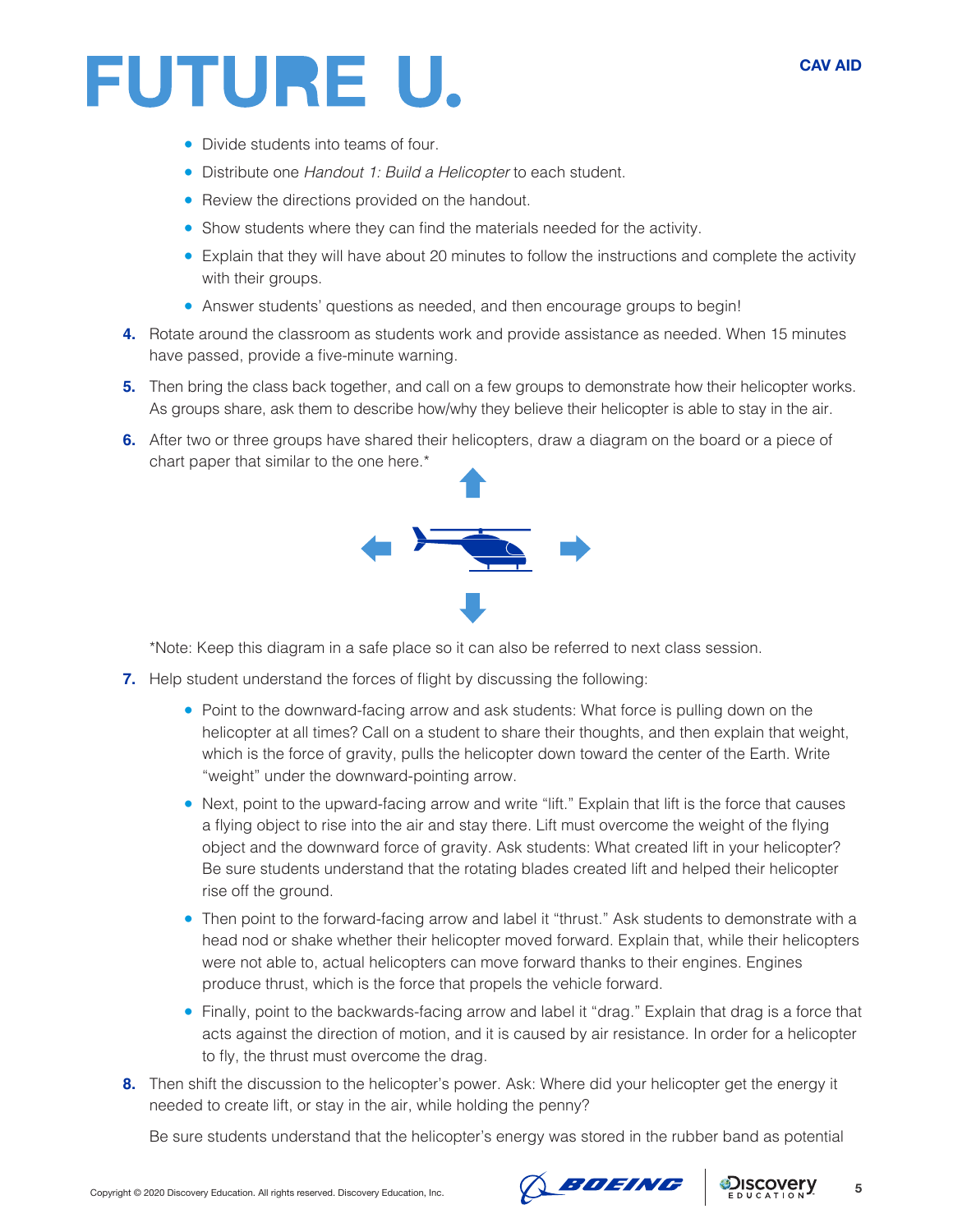

- Divide students into teams of four.
- Distribute one *Handout 1: Build a Helicopter* to each student.
- Review the directions provided on the handout.
- Show students where they can find the materials needed for the activity.
- Explain that they will have about 20 minutes to follow the instructions and complete the activity with their groups.
- Answer students' questions as needed, and then encourage groups to begin!
- **4.** Rotate around the classroom as students work and provide assistance as needed. When 15 minutes have passed, provide a five-minute warning.
- **5.** Then bring the class back together, and call on a few groups to demonstrate how their helicopter works. As groups share, ask them to describe how/why they believe their helicopter is able to stay in the air.
- **6.** After two or three groups have shared their helicopters, draw a diagram on the board or a piece of chart paper that similar to the one here.\*



\*Note: Keep this diagram in a safe place so it can also be referred to next class session.

- **7.** Help student understand the forces of flight by discussing the following:
	- Point to the downward-facing arrow and ask students: What force is pulling down on the helicopter at all times? Call on a student to share their thoughts, and then explain that weight, which is the force of gravity, pulls the helicopter down toward the center of the Earth. Write "weight" under the downward-pointing arrow.
	- Next, point to the upward-facing arrow and write "lift." Explain that lift is the force that causes a flying object to rise into the air and stay there. Lift must overcome the weight of the flying object and the downward force of gravity. Ask students: What created lift in your helicopter? Be sure students understand that the rotating blades created lift and helped their helicopter rise off the ground.
	- Then point to the forward-facing arrow and label it "thrust." Ask students to demonstrate with a head nod or shake whether their helicopter moved forward. Explain that, while their helicopters were not able to, actual helicopters can move forward thanks to their engines. Engines produce thrust, which is the force that propels the vehicle forward.
	- Finally, point to the backwards-facing arrow and label it "drag." Explain that drag is a force that acts against the direction of motion, and it is caused by air resistance. In order for a helicopter to fly, the thrust must overcome the drag.
- **8.** Then shift the discussion to the helicopter's power. Ask: Where did your helicopter get the energy it needed to create lift, or stay in the air, while holding the penny?

Be sure students understand that the helicopter's energy was stored in the rubber band as potential



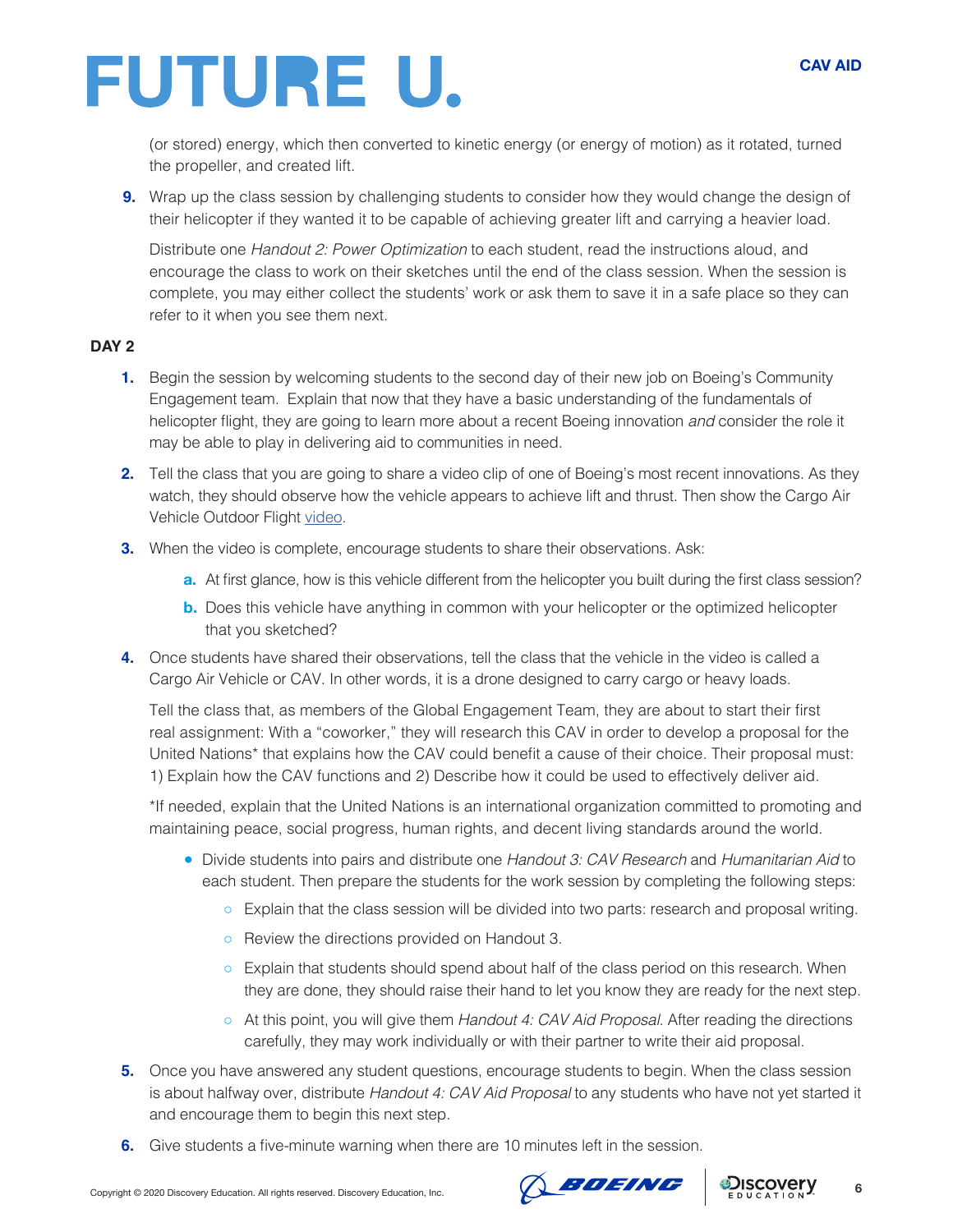(or stored) energy, which then converted to kinetic energy (or energy of motion) as it rotated, turned the propeller, and created lift.

**9.** Wrap up the class session by challenging students to consider how they would change the design of their helicopter if they wanted it to be capable of achieving greater lift and carrying a heavier load.

Distribute one *Handout 2: Power Optimization* to each student, read the instructions aloud, and encourage the class to work on their sketches until the end of the class session. When the session is complete, you may either collect the students' work or ask them to save it in a safe place so they can refer to it when you see them next.

#### **DAY 2**

- **1.** Begin the session by welcoming students to the second day of their new job on Boeing's Community Engagement team. Explain that now that they have a basic understanding of the fundamentals of helicopter flight, they are going to learn more about a recent Boeing innovation *and* consider the role it may be able to play in delivering aid to communities in need.
- **2.** Tell the class that you are going to share a video clip of one of Boeing's most recent innovations. As they watch, they should observe how the vehicle appears to achieve lift and thrust. Then show the Cargo Air Vehicle Outdoor Flight [video.](https://www.boeing.com/features/2019/05/cav-first-flight-05-19.page)
- **3.** When the video is complete, encourage students to share their observations. Ask:
	- **a.** At first glance, how is this vehicle different from the helicopter you built during the first class session?
	- **b.** Does this vehicle have anything in common with your helicopter or the optimized helicopter that you sketched?
- **4.** Once students have shared their observations, tell the class that the vehicle in the video is called a Cargo Air Vehicle or CAV. In other words, it is a drone designed to carry cargo or heavy loads.

Tell the class that, as members of the Global Engagement Team, they are about to start their first real assignment: With a "coworker," they will research this CAV in order to develop a proposal for the United Nations\* that explains how the CAV could benefit a cause of their choice. Their proposal must: 1) Explain how the CAV functions and 2) Describe how it could be used to effectively deliver aid.

\*If needed, explain that the United Nations is an international organization committed to promoting and maintaining peace, social progress, human rights, and decent living standards around the world.

- Divide students into pairs and distribute one *Handout 3: CAV Research* and *Humanitarian Aid* to each student. Then prepare the students for the work session by completing the following steps:
	- Explain that the class session will be divided into two parts: research and proposal writing.
	- Review the directions provided on Handout 3.
	- Explain that students should spend about half of the class period on this research. When they are done, they should raise their hand to let you know they are ready for the next step.
	- At this point, you will give them *Handout 4: CAV Aid Proposal*. After reading the directions carefully, they may work individually or with their partner to write their aid proposal.
- **5.** Once you have answered any student questions, encourage students to begin. When the class session is about halfway over, distribute *Handout 4: CAV Aid Proposal* to any students who have not yet started it and encourage them to begin this next step.
- **6.** Give students a five-minute warning when there are 10 minutes left in the session.



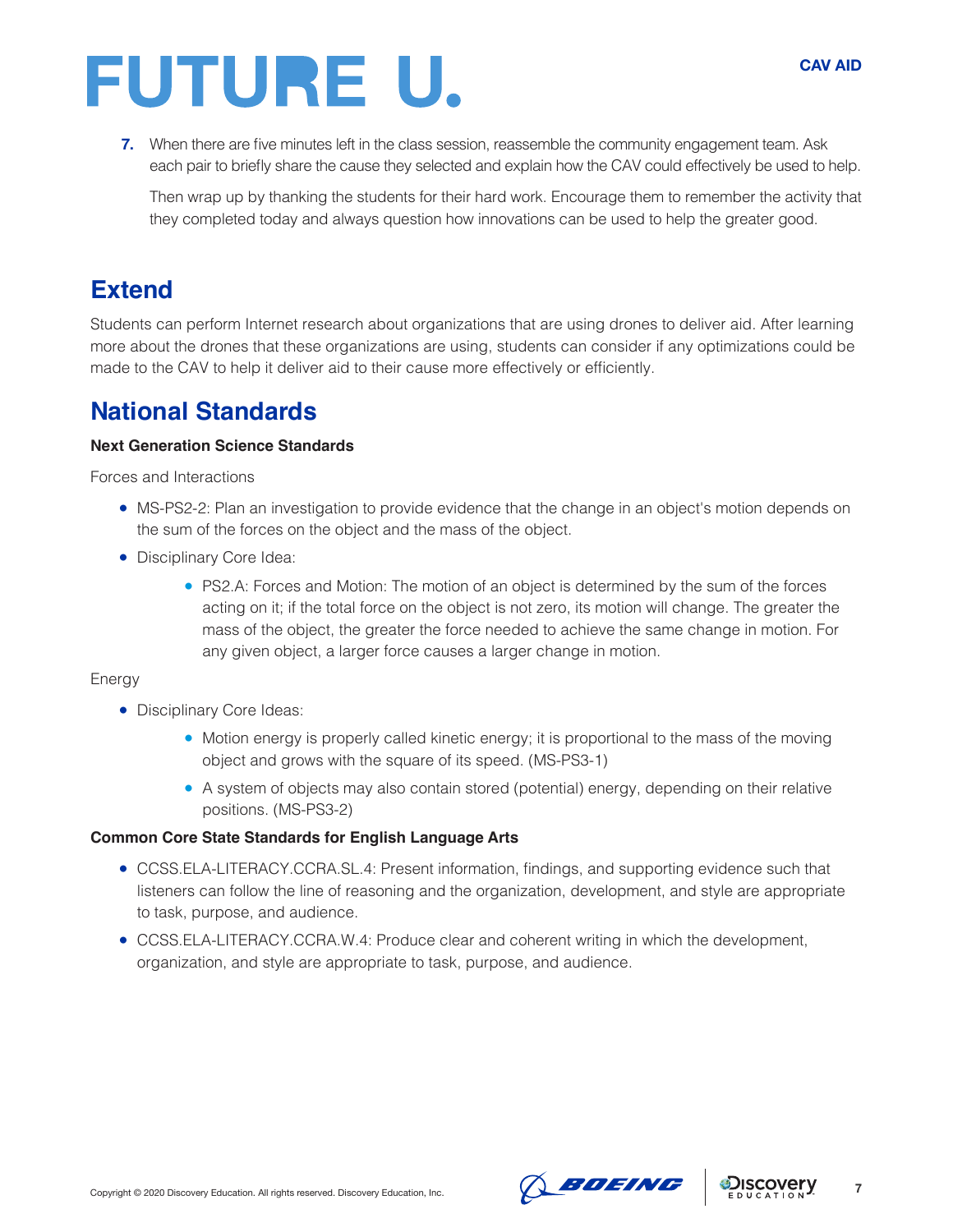**7.** When there are five minutes left in the class session, reassemble the community engagement team. Ask each pair to briefly share the cause they selected and explain how the CAV could effectively be used to help.

Then wrap up by thanking the students for their hard work. Encourage them to remember the activity that they completed today and always question how innovations can be used to help the greater good.

## **Extend**

Students can perform Internet research about organizations that are using drones to deliver aid. After learning more about the drones that these organizations are using, students can consider if any optimizations could be made to the CAV to help it deliver aid to their cause more effectively or efficiently.

### **National Standards**

#### **Next Generation Science Standards**

Forces and Interactions

- MS-PS2-2: Plan an investigation to provide evidence that the change in an object's motion depends on the sum of the forces on the object and the mass of the object.
- Disciplinary Core Idea:
	- PS2.A: Forces and Motion: The motion of an object is determined by the sum of the forces acting on it; if the total force on the object is not zero, its motion will change. The greater the mass of the object, the greater the force needed to achieve the same change in motion. For any given object, a larger force causes a larger change in motion.

#### Energy

- Disciplinary Core Ideas:
	- Motion energy is properly called kinetic energy; it is proportional to the mass of the moving object and grows with the square of its speed. (MS-PS3-1)
	- A system of objects may also contain stored (potential) energy, depending on their relative positions. (MS-PS3-2)

#### **Common Core State Standards for English Language Arts**

- CCSS.ELA-LITERACY.CCRA.SL.4: Present information, findings, and supporting evidence such that listeners can follow the line of reasoning and the organization, development, and style are appropriate to task, purpose, and audience.
- CCSS.ELA-LITERACY.CCRA.W.4: Produce clear and coherent writing in which the development, organization, and style are appropriate to task, purpose, and audience.



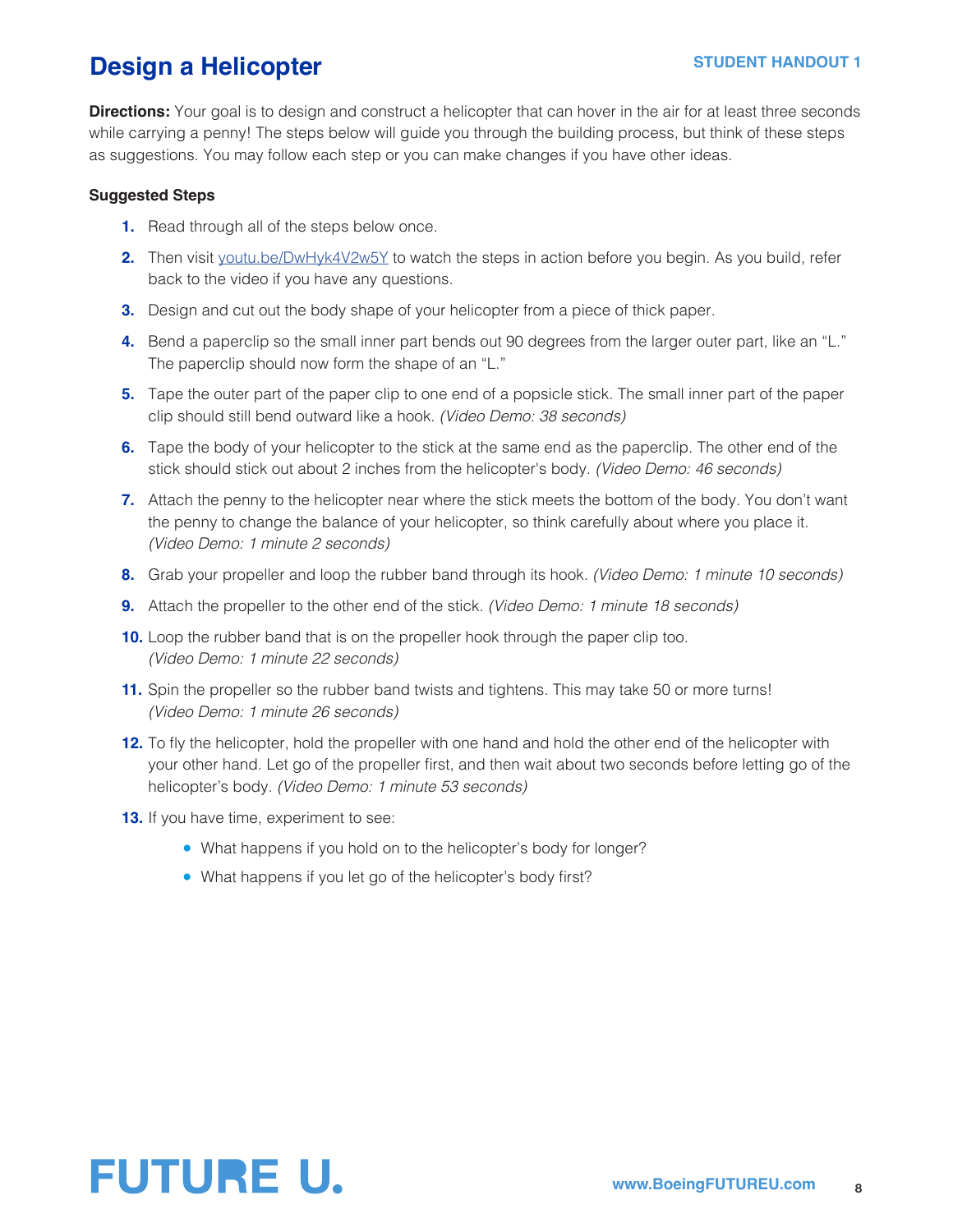## **Design a Helicopter**

**Directions:** Your goal is to design and construct a helicopter that can hover in the air for at least three seconds while carrying a penny! The steps below will guide you through the building process, but think of these steps as suggestions. You may follow each step or you can make changes if you have other ideas.

#### **Suggested Steps**

- **1.** Read through all of the steps below once.
- **2.** Then visit [youtu.be/DwHyk4V2w5Y](http://youtu.be/DwHyk4V2w5Y) to watch the steps in action before you begin. As you build, refer back to the video if you have any questions.
- **3.** Design and cut out the body shape of your helicopter from a piece of thick paper.
- **4.** Bend a paperclip so the small inner part bends out 90 degrees from the larger outer part, like an "L." The paperclip should now form the shape of an "L."
- **5.** Tape the outer part of the paper clip to one end of a popsicle stick. The small inner part of the paper clip should still bend outward like a hook. *(Video Demo: 38 seconds)*
- **6.** Tape the body of your helicopter to the stick at the same end as the paperclip. The other end of the stick should stick out about 2 inches from the helicopter's body. *(Video Demo: 46 seconds)*
- **7.** Attach the penny to the helicopter near where the stick meets the bottom of the body. You don't want the penny to change the balance of your helicopter, so think carefully about where you place it. *(Video Demo: 1 minute 2 seconds)*
- **8.** Grab your propeller and loop the rubber band through its hook. *(Video Demo: 1 minute 10 seconds)*
- **9.** Attach the propeller to the other end of the stick. *(Video Demo: 1 minute 18 seconds)*
- **10.** Loop the rubber band that is on the propeller hook through the paper clip too. *(Video Demo: 1 minute 22 seconds)*
- **11.** Spin the propeller so the rubber band twists and tightens. This may take 50 or more turns! *(Video Demo: 1 minute 26 seconds)*
- **12.** To fly the helicopter, hold the propeller with one hand and hold the other end of the helicopter with your other hand. Let go of the propeller first, and then wait about two seconds before letting go of the helicopter's body. *(Video Demo: 1 minute 53 seconds)*
- **13.** If you have time, experiment to see:
	- What happens if you hold on to the helicopter's body for longer?
	- What happens if you let go of the helicopter's body first?

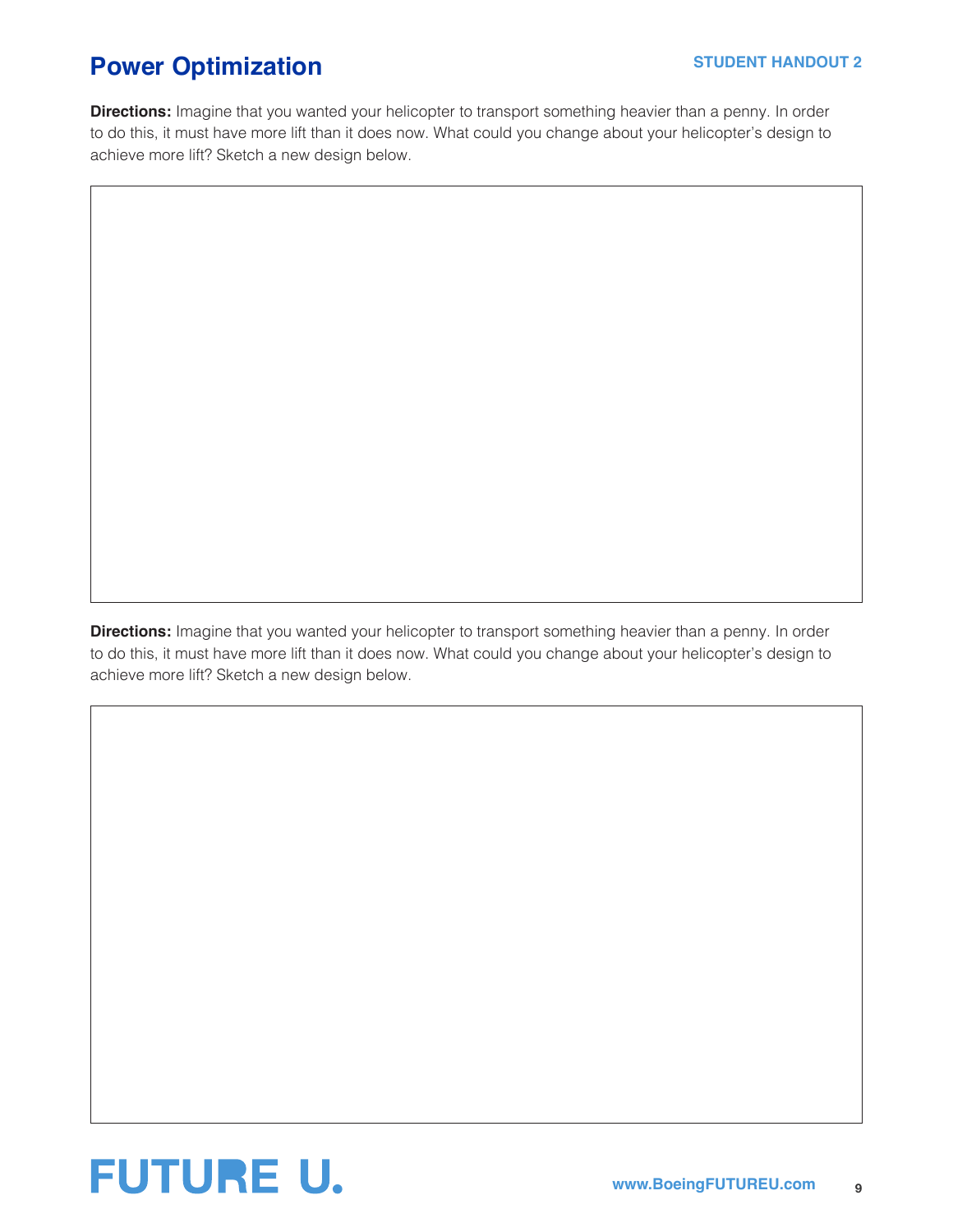## **Power Optimization STUDENT HANDOUT 2**

**Directions:** Imagine that you wanted your helicopter to transport something heavier than a penny. In order to do this, it must have more lift than it does now. What could you change about your helicopter's design to achieve more lift? Sketch a new design below.

**Directions:** Imagine that you wanted your helicopter to transport something heavier than a penny. In order to do this, it must have more lift than it does now. What could you change about your helicopter's design to achieve more lift? Sketch a new design below.

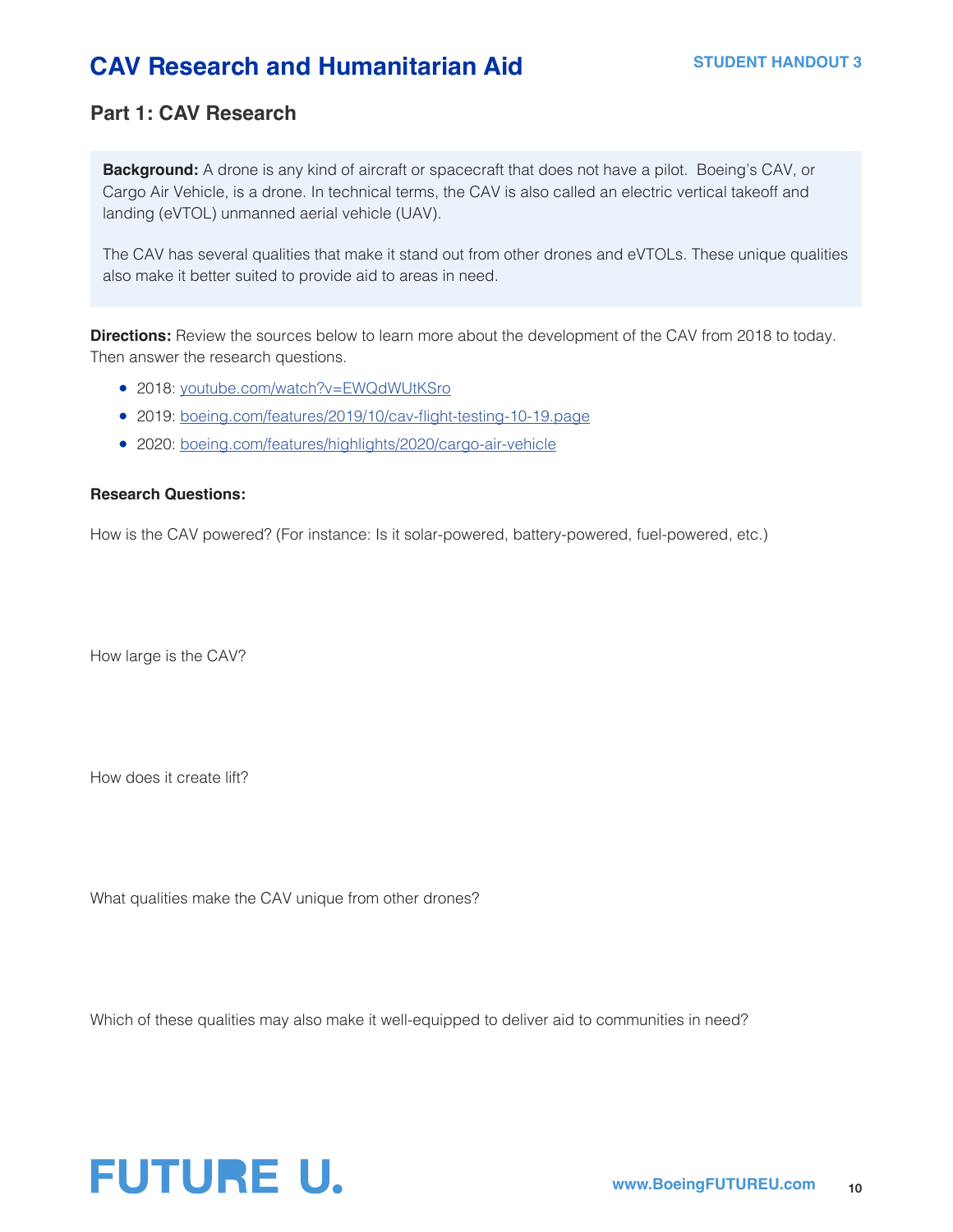## **CAV Research and Humanitarian Aid STUDENT HANDOUT 3**

### **Part 1: CAV Research**

**Background:** A drone is any kind of aircraft or spacecraft that does not have a pilot. Boeing's CAV, or Cargo Air Vehicle, is a drone. In technical terms, the CAV is also called an electric vertical takeoff and landing (eVTOL) unmanned aerial vehicle (UAV).

The CAV has several qualities that make it stand out from other drones and eVTOLs. These unique qualities also make it better suited to provide aid to areas in need.

**Directions:** Review the sources below to learn more about the development of the CAV from 2018 to today. Then answer the research questions.

- 2018: [youtube.com/watch?v=EWQdWUtKSro](http://youtube.com/watch?v=EWQdWUtKSro)
- 2019: [boeing.com/features/2019/10/cav-flight-testing-10-19.page](http://boeing.com/features/2019/10/cav-flight-testing-10-19.page)
- 2020: [boeing.com/features/highlights/2020/cargo-air-vehicle](http://boeing.com/features/highlights/2020/cargo-air-vehicle)

#### **Research Questions:**

How is the CAV powered? (For instance: Is it solar-powered, battery-powered, fuel-powered, etc.)

How large is the CAV?

How does it create lift?

What qualities make the CAV unique from other drones?

Which of these qualities may also make it well-equipped to deliver aid to communities in need?

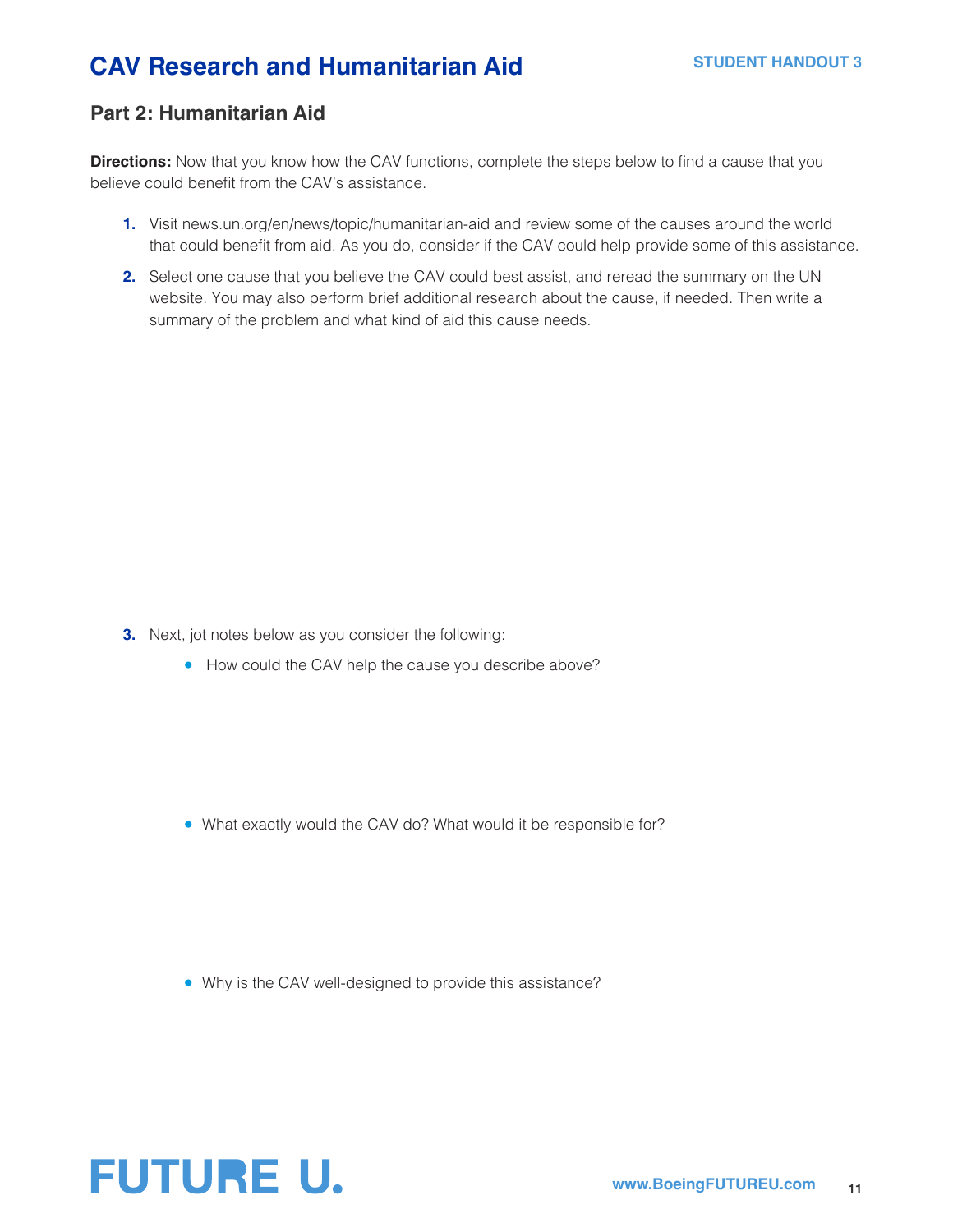## **CAV Research and Humanitarian Aid STUDENT HANDOUT 3**

### **Part 2: Humanitarian Aid**

**Directions:** Now that you know how the CAV functions, complete the steps below to find a cause that you believe could benefit from the CAV's assistance.

- **1.** Visit news.un.org/en/news/topic/humanitarian-aid and review some of the causes around the world that could benefit from aid. As you do, consider if the CAV could help provide some of this assistance.
- **2.** Select one cause that you believe the CAV could best assist, and reread the summary on the UN website. You may also perform brief additional research about the cause, if needed. Then write a summary of the problem and what kind of aid this cause needs.

- **3.** Next, jot notes below as you consider the following:
	- How could the CAV help the cause you describe above?

• What exactly would the CAV do? What would it be responsible for?

• Why is the CAV well-designed to provide this assistance?